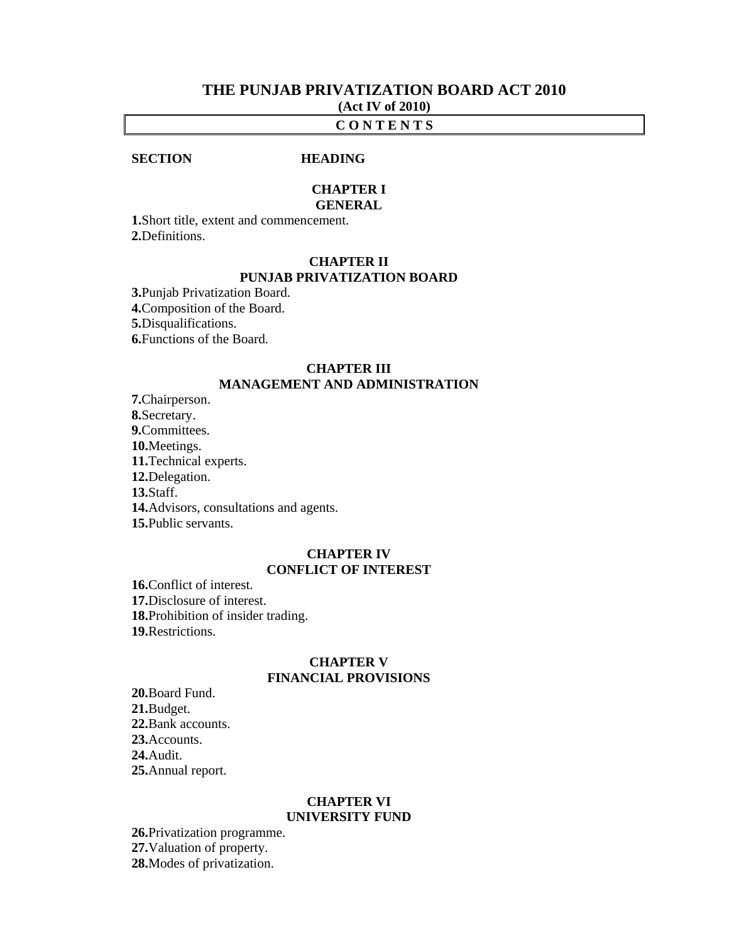# **THE PUNJAB PRIVATIZATION BOARD ACT 2010 (Act IV of 2010)**

### **C O N T E N T S**

### **SECTION HEADING**

# **CHAPTER I**

### **GENERAL**

**1.**Short title, extent and commencement. **2.**Definitions.

### **CHAPTER II PUNJAB PRIVATIZATION BOARD**

**3.**Punjab Privatization Board. **4.**Composition of the Board. **5.**Disqualifications. **6.**Functions of the Board.

### **CHAPTER III MANAGEMENT AND ADMINISTRATION**

**7.**Chairperson. **8.**Secretary. **9.**Committees. **10.**Meetings. **11.**Technical experts.  **12.**Delegation. **13.**Staff. **14.**Advisors, consultations and agents. **15.**Public servants.

### **CHAPTER IV CONFLICT OF INTEREST**

**16.**Conflict of interest. **17.**Disclosure of interest. **18.**Prohibition of insider trading. **19.**Restrictions.

# **CHAPTER V FINANCIAL PROVISIONS**

 **20.**Board Fund. **21.**Budget. **22.**Bank accounts.  **23.**Accounts. **24.**Audit. **25.**Annual report.

### **CHAPTER VI UNIVERSITY FUND**

**26.**Privatization programme. **27.**Valuation of property. **28.**Modes of privatization.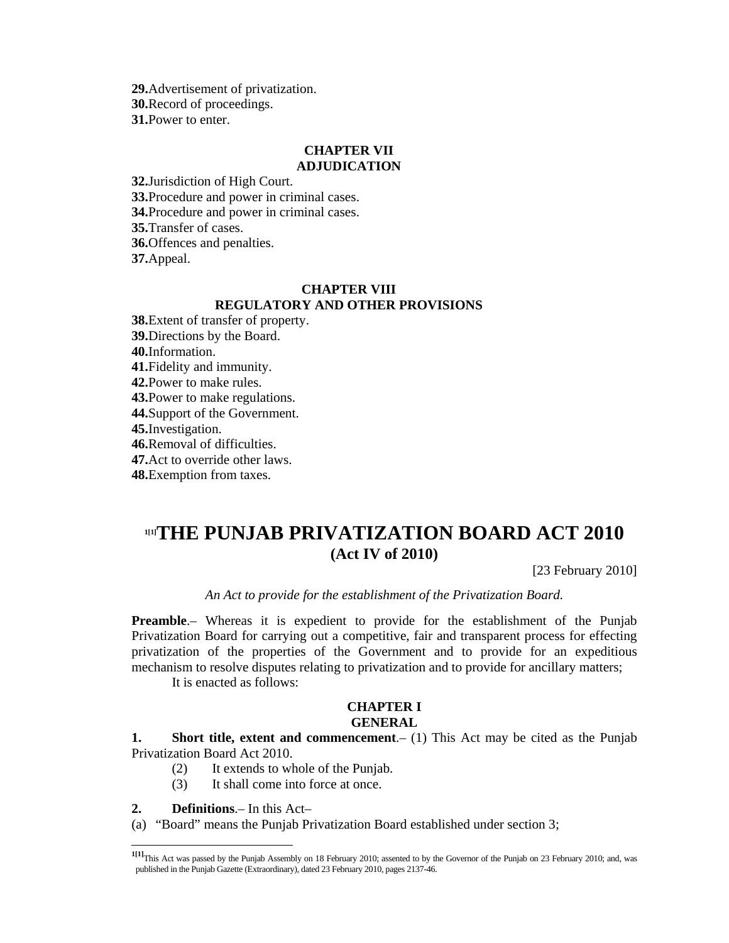**29.**Advertisement of privatization. **30.**Record of proceedings. **31.**Power to enter.

### **CHAPTER VII ADJUDICATION**

**32.**Jurisdiction of High Court. **33.**Procedure and power in criminal cases. **34.**Procedure and power in criminal cases. **35.**Transfer of cases. **36.**Offences and penalties. **37.**Appeal.

# **CHAPTER VIII REGULATORY AND OTHER PROVISIONS**

**38.**Extent of transfer of property. **39.**Directions by the Board. **40.**Information. **41.**Fidelity and immunity. **42.**Power to make rules. **43.**Power to make regulations. **44.**Support of the Government. **45.**Investigation. **46.**Removal of difficulties. **47.**Act to override other laws. **48.**Exemption from taxes.

# **1[1]THE PUNJAB PRIVATIZATION BOARD ACT 2010 (Act IV of 2010)**

[23 February 2010]

*An Act to provide for the establishment of the Privatization Board.* 

**Preamble.**– Whereas it is expedient to provide for the establishment of the Punjab Privatization Board for carrying out a competitive, fair and transparent process for effecting privatization of the properties of the Government and to provide for an expeditious mechanism to resolve disputes relating to privatization and to provide for ancillary matters;

It is enacted as follows:

### **CHAPTER I GENERAL**

**1.** Short title, extent and commencement. (1) This Act may be cited as the Punjab Privatization Board Act 2010.

- (2) It extends to whole of the Punjab.
- (3) It shall come into force at once.

**2. Definitions**.– In this Act–

 $\overline{a}$ 

(a) "Board" means the Punjab Privatization Board established under section 3;

**<sup>1[1]</sup>**This Act was passed by the Punjab Assembly on 18 February 2010; assented to by the Governor of the Punjab on 23 February 2010; and, was published in the Punjab Gazette (Extraordinary), dated 23 February 2010, pages 2137-46.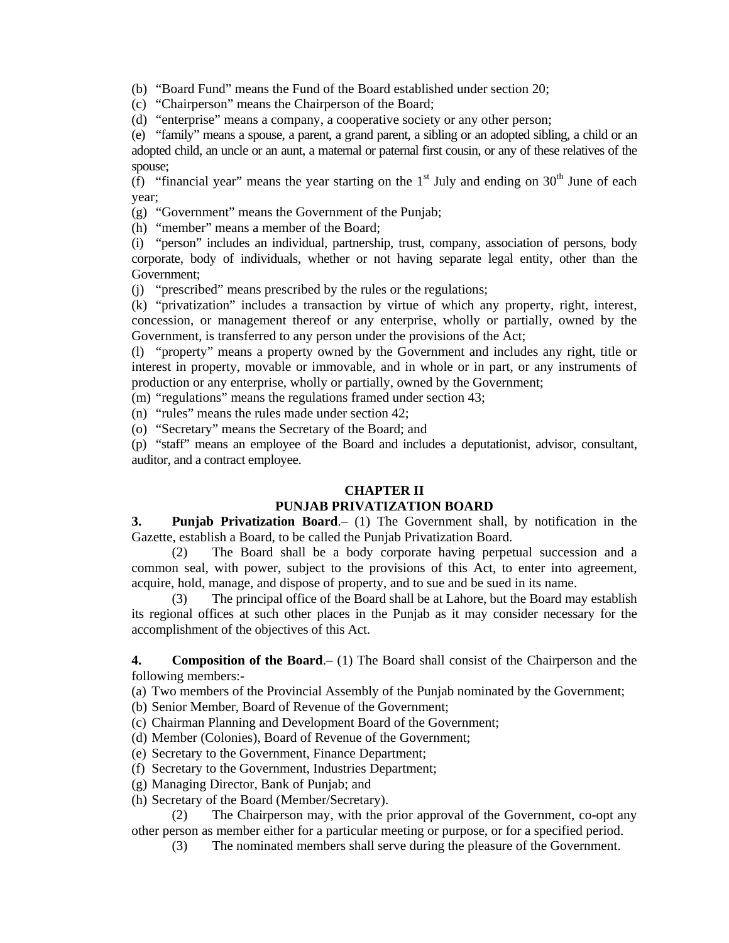(b) "Board Fund" means the Fund of the Board established under section 20;

(c) "Chairperson" means the Chairperson of the Board;

(d) "enterprise" means a company, a cooperative society or any other person;

 (e) "family" means a spouse, a parent, a grand parent, a sibling or an adopted sibling, a child or an adopted child, an uncle or an aunt, a maternal or paternal first cousin, or any of these relatives of the spouse;

(f) "financial year" means the year starting on the  $1<sup>st</sup>$  July and ending on  $30<sup>th</sup>$  June of each year;

(g) "Government" means the Government of the Punjab;

(h) "member" means a member of the Board;

 (i) "person" includes an individual, partnership, trust, company, association of persons, body corporate, body of individuals, whether or not having separate legal entity, other than the Government;

(j) "prescribed" means prescribed by the rules or the regulations;

 (k) "privatization" includes a transaction by virtue of which any property, right, interest, concession, or management thereof or any enterprise, wholly or partially, owned by the Government, is transferred to any person under the provisions of the Act;

 (l) "property" means a property owned by the Government and includes any right, title or interest in property, movable or immovable, and in whole or in part, or any instruments of production or any enterprise, wholly or partially, owned by the Government;

(m) "regulations" means the regulations framed under section 43;

(n) "rules" means the rules made under section 42;

(o) "Secretary" means the Secretary of the Board; and

 (p) "staff" means an employee of the Board and includes a deputationist, advisor, consultant, auditor, and a contract employee.

# **CHAPTER II**

# **PUNJAB PRIVATIZATION BOARD**

**3. Punjab Privatization Board**.– (1) The Government shall, by notification in the Gazette, establish a Board, to be called the Punjab Privatization Board.

 (2) The Board shall be a body corporate having perpetual succession and a common seal, with power, subject to the provisions of this Act, to enter into agreement, acquire, hold, manage, and dispose of property, and to sue and be sued in its name.

 (3) The principal office of the Board shall be at Lahore, but the Board may establish its regional offices at such other places in the Punjab as it may consider necessary for the accomplishment of the objectives of this Act.

**4. Composition of the Board**.– (1) The Board shall consist of the Chairperson and the following members:-

(a) Two members of the Provincial Assembly of the Punjab nominated by the Government;

(b) Senior Member, Board of Revenue of the Government;

(c) Chairman Planning and Development Board of the Government;

(d) Member (Colonies), Board of Revenue of the Government;

(e) Secretary to the Government, Finance Department;

(f) Secretary to the Government, Industries Department;

(g) Managing Director, Bank of Punjab; and

(h) Secretary of the Board (Member/Secretary).

 (2) The Chairperson may, with the prior approval of the Government, co-opt any other person as member either for a particular meeting or purpose, or for a specified period.

(3) The nominated members shall serve during the pleasure of the Government.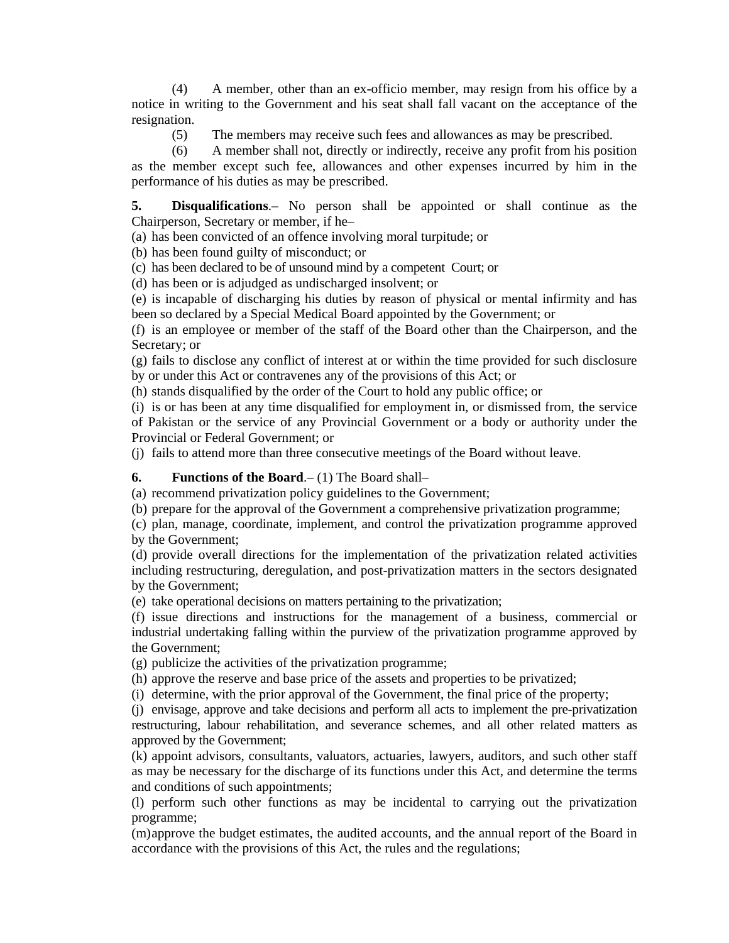(4) A member, other than an ex-officio member, may resign from his office by a notice in writing to the Government and his seat shall fall vacant on the acceptance of the resignation.

(5) The members may receive such fees and allowances as may be prescribed.

 (6) A member shall not, directly or indirectly, receive any profit from his position as the member except such fee, allowances and other expenses incurred by him in the performance of his duties as may be prescribed.

**5. Disqualifications**.– No person shall be appointed or shall continue as the Chairperson, Secretary or member, if he–

(a) has been convicted of an offence involving moral turpitude; or

(b) has been found guilty of misconduct; or

(c) has been declared to be of unsound mind by a competent Court; or

(d) has been or is adjudged as undischarged insolvent; or

 (e) is incapable of discharging his duties by reason of physical or mental infirmity and has been so declared by a Special Medical Board appointed by the Government; or

 (f) is an employee or member of the staff of the Board other than the Chairperson, and the Secretary; or

 (g) fails to disclose any conflict of interest at or within the time provided for such disclosure by or under this Act or contravenes any of the provisions of this Act; or

(h) stands disqualified by the order of the Court to hold any public office; or

 (i) is or has been at any time disqualified for employment in, or dismissed from, the service of Pakistan or the service of any Provincial Government or a body or authority under the Provincial or Federal Government; or

(j) fails to attend more than three consecutive meetings of the Board without leave.

# **6. Functions of the Board**.– (1) The Board shall–

(a) recommend privatization policy guidelines to the Government;

(b) prepare for the approval of the Government a comprehensive privatization programme;

 (c) plan, manage, coordinate, implement, and control the privatization programme approved by the Government;

 (d) provide overall directions for the implementation of the privatization related activities including restructuring, deregulation, and post-privatization matters in the sectors designated by the Government;

(e) take operational decisions on matters pertaining to the privatization;

 (f) issue directions and instructions for the management of a business, commercial or industrial undertaking falling within the purview of the privatization programme approved by the Government;

(g) publicize the activities of the privatization programme;

(h) approve the reserve and base price of the assets and properties to be privatized;

(i) determine, with the prior approval of the Government, the final price of the property;

 (j) envisage, approve and take decisions and perform all acts to implement the pre-privatization restructuring, labour rehabilitation, and severance schemes, and all other related matters as approved by the Government;

 (k) appoint advisors, consultants, valuators, actuaries, lawyers, auditors, and such other staff as may be necessary for the discharge of its functions under this Act, and determine the terms and conditions of such appointments;

 (l) perform such other functions as may be incidental to carrying out the privatization programme;

 (m) approve the budget estimates, the audited accounts, and the annual report of the Board in accordance with the provisions of this Act, the rules and the regulations;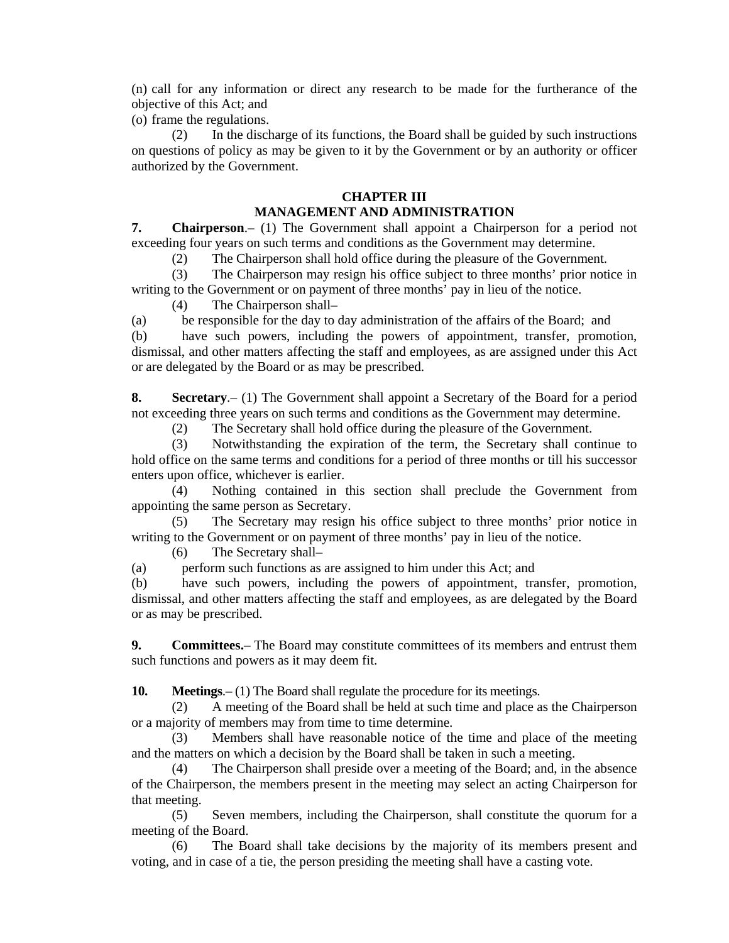(n) call for any information or direct any research to be made for the furtherance of the objective of this Act; and

(o) frame the regulations.

 (2) In the discharge of its functions, the Board shall be guided by such instructions on questions of policy as may be given to it by the Government or by an authority or officer authorized by the Government.

# **CHAPTER III**

# **MANAGEMENT AND ADMINISTRATION**

**7. Chairperson**.– (1) The Government shall appoint a Chairperson for a period not exceeding four years on such terms and conditions as the Government may determine.

(2) The Chairperson shall hold office during the pleasure of the Government.

 (3) The Chairperson may resign his office subject to three months' prior notice in writing to the Government or on payment of three months' pay in lieu of the notice.

(4) The Chairperson shall–

(a) be responsible for the day to day administration of the affairs of the Board; and

 (b) have such powers, including the powers of appointment, transfer, promotion, dismissal, and other matters affecting the staff and employees, as are assigned under this Act or are delegated by the Board or as may be prescribed.

**8. Secretary**.– (1) The Government shall appoint a Secretary of the Board for a period not exceeding three years on such terms and conditions as the Government may determine.

(2) The Secretary shall hold office during the pleasure of the Government.

 (3) Notwithstanding the expiration of the term, the Secretary shall continue to hold office on the same terms and conditions for a period of three months or till his successor enters upon office, whichever is earlier.

 (4) Nothing contained in this section shall preclude the Government from appointing the same person as Secretary.

 (5) The Secretary may resign his office subject to three months' prior notice in writing to the Government or on payment of three months' pay in lieu of the notice.

(6) The Secretary shall–

(a) perform such functions as are assigned to him under this Act; and

 (b) have such powers, including the powers of appointment, transfer, promotion, dismissal, and other matters affecting the staff and employees, as are delegated by the Board or as may be prescribed.

**9. Committees.**– The Board may constitute committees of its members and entrust them such functions and powers as it may deem fit.

**10. Meetings**.– (1) The Board shall regulate the procedure for its meetings.

 (2) A meeting of the Board shall be held at such time and place as the Chairperson or a majority of members may from time to time determine.

 (3) Members shall have reasonable notice of the time and place of the meeting and the matters on which a decision by the Board shall be taken in such a meeting.

 (4) The Chairperson shall preside over a meeting of the Board; and, in the absence of the Chairperson, the members present in the meeting may select an acting Chairperson for that meeting.

 (5) Seven members, including the Chairperson, shall constitute the quorum for a meeting of the Board.

 (6) The Board shall take decisions by the majority of its members present and voting, and in case of a tie, the person presiding the meeting shall have a casting vote.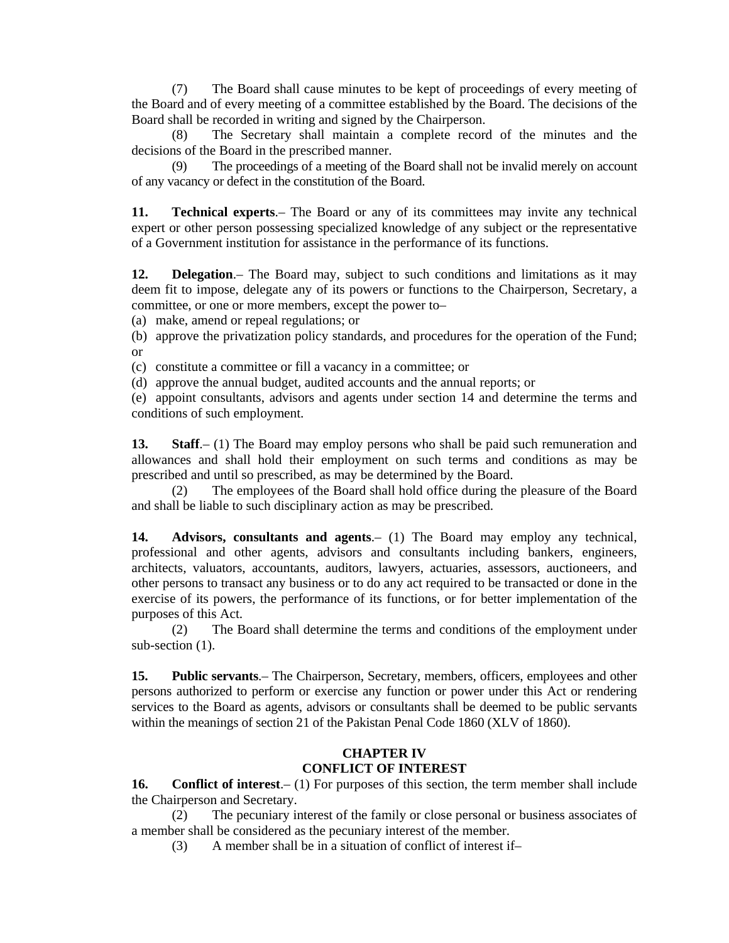(7) The Board shall cause minutes to be kept of proceedings of every meeting of the Board and of every meeting of a committee established by the Board. The decisions of the Board shall be recorded in writing and signed by the Chairperson.

 (8) The Secretary shall maintain a complete record of the minutes and the decisions of the Board in the prescribed manner.

 (9) The proceedings of a meeting of the Board shall not be invalid merely on account of any vacancy or defect in the constitution of the Board.

**11. Technical experts**.– The Board or any of its committees may invite any technical expert or other person possessing specialized knowledge of any subject or the representative of a Government institution for assistance in the performance of its functions.

**12. Delegation**.– The Board may, subject to such conditions and limitations as it may deem fit to impose, delegate any of its powers or functions to the Chairperson, Secretary, a committee, or one or more members, except the power to–

(a) make, amend or repeal regulations; or

 (b) approve the privatization policy standards, and procedures for the operation of the Fund; or

(c) constitute a committee or fill a vacancy in a committee; or

(d) approve the annual budget, audited accounts and the annual reports; or

 (e) appoint consultants, advisors and agents under section 14 and determine the terms and conditions of such employment.

**13. Staff.**– (1) The Board may employ persons who shall be paid such remuneration and allowances and shall hold their employment on such terms and conditions as may be prescribed and until so prescribed, as may be determined by the Board.

 (2) The employees of the Board shall hold office during the pleasure of the Board and shall be liable to such disciplinary action as may be prescribed.

**14. Advisors, consultants and agents**.– (1) The Board may employ any technical, professional and other agents, advisors and consultants including bankers, engineers, architects, valuators, accountants, auditors, lawyers, actuaries, assessors, auctioneers, and other persons to transact any business or to do any act required to be transacted or done in the exercise of its powers, the performance of its functions, or for better implementation of the purposes of this Act.

 (2) The Board shall determine the terms and conditions of the employment under sub-section  $(1)$ .

**15. Public servants**.– The Chairperson, Secretary, members, officers, employees and other persons authorized to perform or exercise any function or power under this Act or rendering services to the Board as agents, advisors or consultants shall be deemed to be public servants within the meanings of section 21 of the Pakistan Penal Code 1860 (XLV of 1860).

# **CHAPTER IV CONFLICT OF INTEREST**

**16.** Conflict of interest. – (1) For purposes of this section, the term member shall include the Chairperson and Secretary.

 (2) The pecuniary interest of the family or close personal or business associates of a member shall be considered as the pecuniary interest of the member.

(3) A member shall be in a situation of conflict of interest if–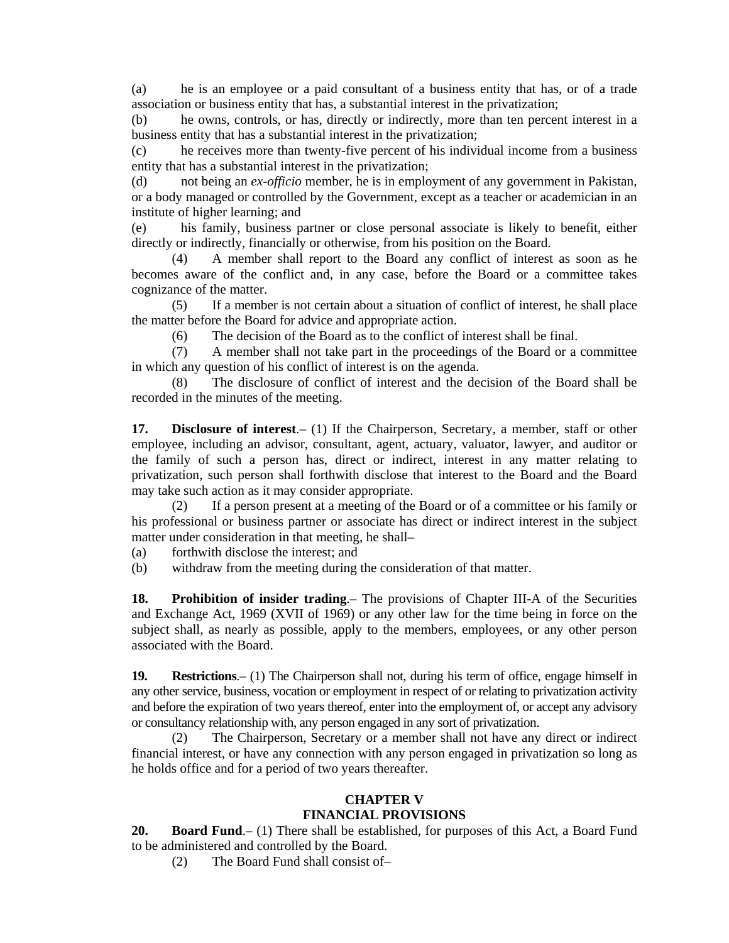(a) he is an employee or a paid consultant of a business entity that has, or of a trade association or business entity that has, a substantial interest in the privatization;

 (b) he owns, controls, or has, directly or indirectly, more than ten percent interest in a business entity that has a substantial interest in the privatization;

 (c) he receives more than twenty-five percent of his individual income from a business entity that has a substantial interest in the privatization;

 (d) not being an *ex-officio* member, he is in employment of any government in Pakistan, or a body managed or controlled by the Government, except as a teacher or academician in an institute of higher learning; and

 (e) his family, business partner or close personal associate is likely to benefit, either directly or indirectly, financially or otherwise, from his position on the Board.

 (4) A member shall report to the Board any conflict of interest as soon as he becomes aware of the conflict and, in any case, before the Board or a committee takes cognizance of the matter.

 (5) If a member is not certain about a situation of conflict of interest, he shall place the matter before the Board for advice and appropriate action.

(6) The decision of the Board as to the conflict of interest shall be final.

 (7) A member shall not take part in the proceedings of the Board or a committee in which any question of his conflict of interest is on the agenda.

 (8) The disclosure of conflict of interest and the decision of the Board shall be recorded in the minutes of the meeting.

**17. Disclosure of interest.** (1) If the Chairperson, Secretary, a member, staff or other employee, including an advisor, consultant, agent, actuary, valuator, lawyer, and auditor or the family of such a person has, direct or indirect, interest in any matter relating to privatization, such person shall forthwith disclose that interest to the Board and the Board may take such action as it may consider appropriate.

 (2) If a person present at a meeting of the Board or of a committee or his family or his professional or business partner or associate has direct or indirect interest in the subject matter under consideration in that meeting, he shall–

(a) forthwith disclose the interest; and

(b) withdraw from the meeting during the consideration of that matter.

**18. Prohibition of insider trading.** The provisions of Chapter III-A of the Securities and Exchange Act, 1969 (XVII of 1969) or any other law for the time being in force on the subject shall, as nearly as possible, apply to the members, employees, or any other person associated with the Board.

**19. Restrictions**.– (1) The Chairperson shall not, during his term of office, engage himself in any other service, business, vocation or employment in respect of or relating to privatization activity and before the expiration of two years thereof, enter into the employment of, or accept any advisory or consultancy relationship with, any person engaged in any sort of privatization.

 (2) The Chairperson, Secretary or a member shall not have any direct or indirect financial interest, or have any connection with any person engaged in privatization so long as he holds office and for a period of two years thereafter.

# **CHAPTER V FINANCIAL PROVISIONS**

**20. Board Fund**.– (1) There shall be established, for purposes of this Act, a Board Fund to be administered and controlled by the Board.

(2) The Board Fund shall consist of–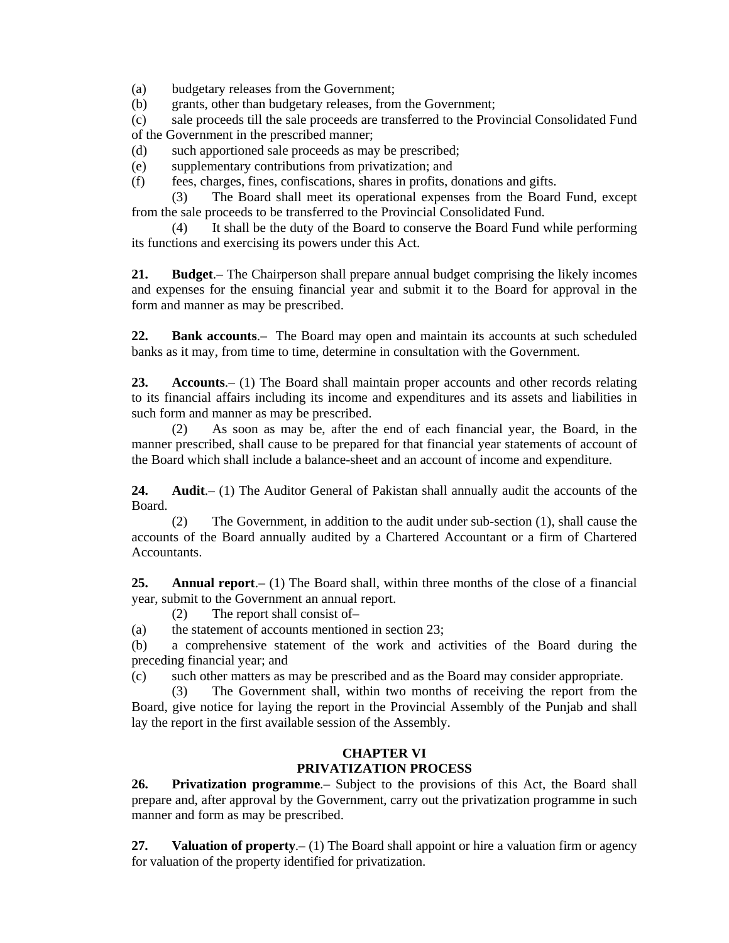(a) budgetary releases from the Government;

(b) grants, other than budgetary releases, from the Government;

 (c) sale proceeds till the sale proceeds are transferred to the Provincial Consolidated Fund of the Government in the prescribed manner;

(d) such apportioned sale proceeds as may be prescribed;

(e) supplementary contributions from privatization; and

(f) fees, charges, fines, confiscations, shares in profits, donations and gifts.

 (3) The Board shall meet its operational expenses from the Board Fund, except from the sale proceeds to be transferred to the Provincial Consolidated Fund.

 (4) It shall be the duty of the Board to conserve the Board Fund while performing its functions and exercising its powers under this Act.

**21. Budget**.– The Chairperson shall prepare annual budget comprising the likely incomes and expenses for the ensuing financial year and submit it to the Board for approval in the form and manner as may be prescribed.

**22. Bank accounts**.–The Board may open and maintain its accounts at such scheduled banks as it may, from time to time, determine in consultation with the Government.

**23. Accounts**.– (1) The Board shall maintain proper accounts and other records relating to its financial affairs including its income and expenditures and its assets and liabilities in such form and manner as may be prescribed.

 (2) As soon as may be, after the end of each financial year, the Board, in the manner prescribed, shall cause to be prepared for that financial year statements of account of the Board which shall include a balance-sheet and an account of income and expenditure.

**24. Audit**.– (1) The Auditor General of Pakistan shall annually audit the accounts of the Board.

 (2) The Government, in addition to the audit under sub-section (1), shall cause the accounts of the Board annually audited by a Chartered Accountant or a firm of Chartered Accountants.

**25. Annual report**.– (1) The Board shall, within three months of the close of a financial year, submit to the Government an annual report.

(2) The report shall consist of–

(a) the statement of accounts mentioned in section 23;

 (b) a comprehensive statement of the work and activities of the Board during the preceding financial year; and

(c) such other matters as may be prescribed and as the Board may consider appropriate.

 (3) The Government shall, within two months of receiving the report from the Board, give notice for laying the report in the Provincial Assembly of the Punjab and shall lay the report in the first available session of the Assembly.

# **CHAPTER VI PRIVATIZATION PROCESS**

**26. Privatization programme**.– Subject to the provisions of this Act, the Board shall prepare and, after approval by the Government, carry out the privatization programme in such manner and form as may be prescribed.

**27. Valuation of property**.– (1) The Board shall appoint or hire a valuation firm or agency for valuation of the property identified for privatization.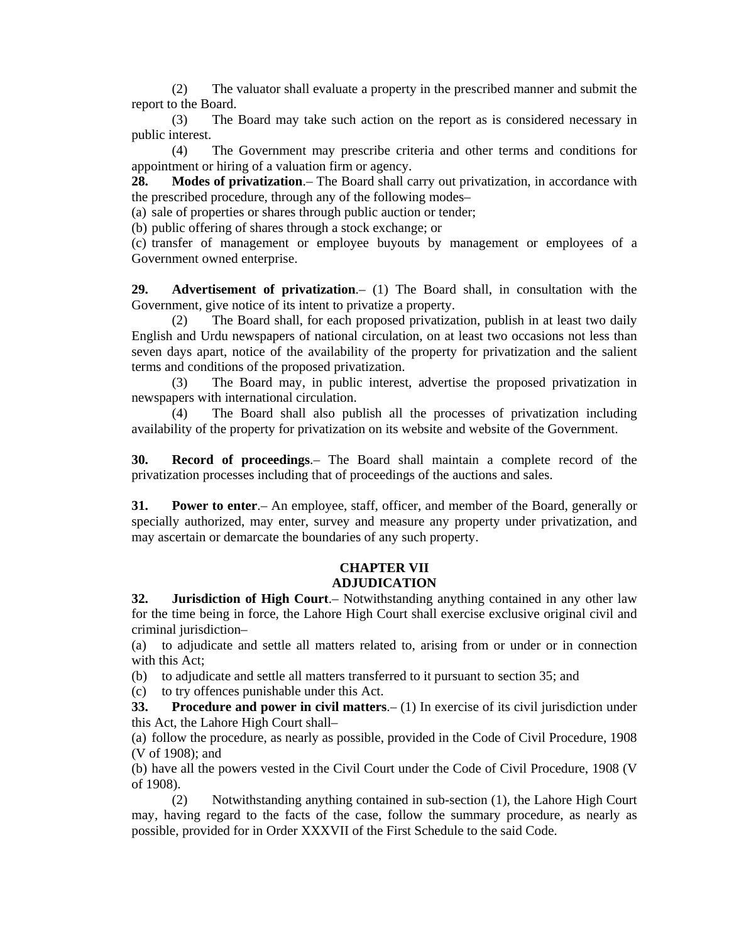(2) The valuator shall evaluate a property in the prescribed manner and submit the report to the Board.

 (3) The Board may take such action on the report as is considered necessary in public interest.

 (4) The Government may prescribe criteria and other terms and conditions for appointment or hiring of a valuation firm or agency.

**28. Modes of privatization**.– The Board shall carry out privatization, in accordance with the prescribed procedure, through any of the following modes–

(a) sale of properties or shares through public auction or tender;

(b) public offering of shares through a stock exchange; or

 (c) transfer of management or employee buyouts by management or employees of a Government owned enterprise.

**29. Advertisement of privatization**.– (1) The Board shall, in consultation with the Government, give notice of its intent to privatize a property.

 (2) The Board shall, for each proposed privatization, publish in at least two daily English and Urdu newspapers of national circulation, on at least two occasions not less than seven days apart, notice of the availability of the property for privatization and the salient terms and conditions of the proposed privatization.

 (3) The Board may, in public interest, advertise the proposed privatization in newspapers with international circulation.

 (4) The Board shall also publish all the processes of privatization including availability of the property for privatization on its website and website of the Government.

**30. Record of proceedings**.– The Board shall maintain a complete record of the privatization processes including that of proceedings of the auctions and sales.

**31. Power to enter**.– An employee, staff, officer, and member of the Board, generally or specially authorized, may enter, survey and measure any property under privatization, and may ascertain or demarcate the boundaries of any such property.

### **CHAPTER VII ADJUDICATION**

**32. Jurisdiction of High Court**.– Notwithstanding anything contained in any other law for the time being in force, the Lahore High Court shall exercise exclusive original civil and criminal jurisdiction–

 (a) to adjudicate and settle all matters related to, arising from or under or in connection with this Act;

(b) to adjudicate and settle all matters transferred to it pursuant to section 35; and

(c) to try offences punishable under this Act.

**33. Procedure and power in civil matters**.– (1) In exercise of its civil jurisdiction under this Act, the Lahore High Court shall–

 (a) follow the procedure, as nearly as possible, provided in the Code of Civil Procedure, 1908 (V of 1908); and

 (b) have all the powers vested in the Civil Court under the Code of Civil Procedure, 1908 (V of 1908).

 (2) Notwithstanding anything contained in sub-section (1), the Lahore High Court may, having regard to the facts of the case, follow the summary procedure, as nearly as possible, provided for in Order XXXVII of the First Schedule to the said Code.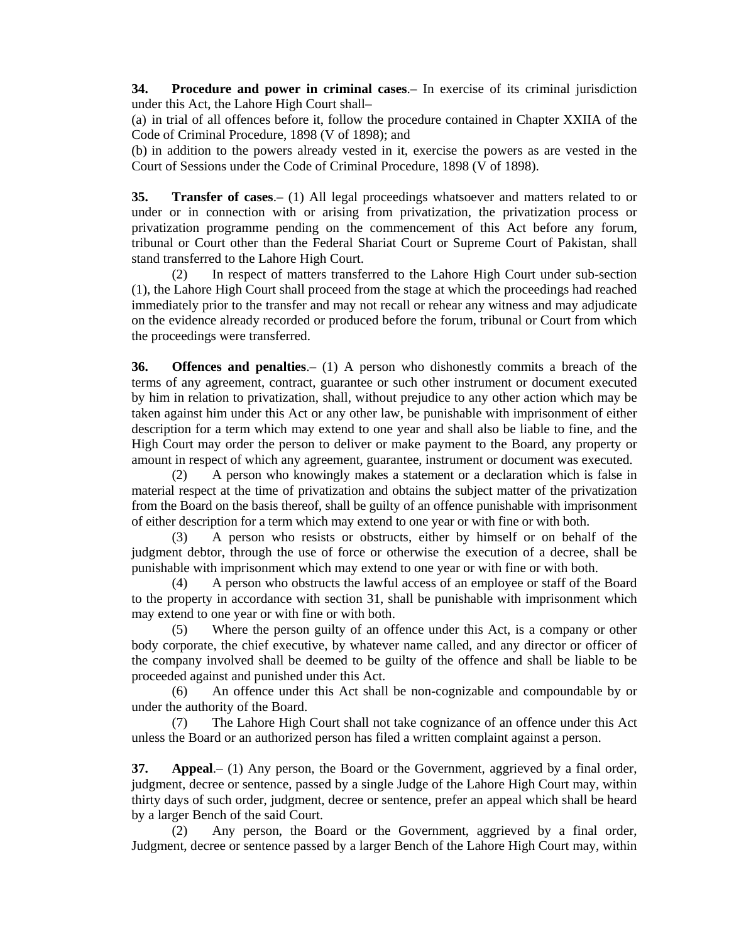**34. Procedure and power in criminal cases**.– In exercise of its criminal jurisdiction under this Act, the Lahore High Court shall–

 (a) in trial of all offences before it, follow the procedure contained in Chapter XXIIA of the Code of Criminal Procedure, 1898 (V of 1898); and

 (b) in addition to the powers already vested in it, exercise the powers as are vested in the Court of Sessions under the Code of Criminal Procedure, 1898 (V of 1898).

**35. Transfer of cases.**– (1) All legal proceedings whatsoever and matters related to or under or in connection with or arising from privatization, the privatization process or privatization programme pending on the commencement of this Act before any forum, tribunal or Court other than the Federal Shariat Court or Supreme Court of Pakistan, shall stand transferred to the Lahore High Court.

 (2) In respect of matters transferred to the Lahore High Court under sub-section (1), the Lahore High Court shall proceed from the stage at which the proceedings had reached immediately prior to the transfer and may not recall or rehear any witness and may adjudicate on the evidence already recorded or produced before the forum, tribunal or Court from which the proceedings were transferred.

**36. Offences and penalties**.– (1) A person who dishonestly commits a breach of the terms of any agreement, contract, guarantee or such other instrument or document executed by him in relation to privatization, shall, without prejudice to any other action which may be taken against him under this Act or any other law, be punishable with imprisonment of either description for a term which may extend to one year and shall also be liable to fine, and the High Court may order the person to deliver or make payment to the Board, any property or amount in respect of which any agreement, guarantee, instrument or document was executed.

 (2) A person who knowingly makes a statement or a declaration which is false in material respect at the time of privatization and obtains the subject matter of the privatization from the Board on the basis thereof, shall be guilty of an offence punishable with imprisonment of either description for a term which may extend to one year or with fine or with both.

 (3) A person who resists or obstructs, either by himself or on behalf of the judgment debtor, through the use of force or otherwise the execution of a decree, shall be punishable with imprisonment which may extend to one year or with fine or with both.

 (4) A person who obstructs the lawful access of an employee or staff of the Board to the property in accordance with section 31, shall be punishable with imprisonment which may extend to one year or with fine or with both.

 (5) Where the person guilty of an offence under this Act, is a company or other body corporate, the chief executive, by whatever name called, and any director or officer of the company involved shall be deemed to be guilty of the offence and shall be liable to be proceeded against and punished under this Act.

 (6) An offence under this Act shall be non-cognizable and compoundable by or under the authority of the Board.

 (7) The Lahore High Court shall not take cognizance of an offence under this Act unless the Board or an authorized person has filed a written complaint against a person.

**37. Appeal**.– (1) Any person, the Board or the Government, aggrieved by a final order, judgment, decree or sentence, passed by a single Judge of the Lahore High Court may, within thirty days of such order, judgment, decree or sentence, prefer an appeal which shall be heard by a larger Bench of the said Court.

 (2) Any person, the Board or the Government, aggrieved by a final order, Judgment, decree or sentence passed by a larger Bench of the Lahore High Court may, within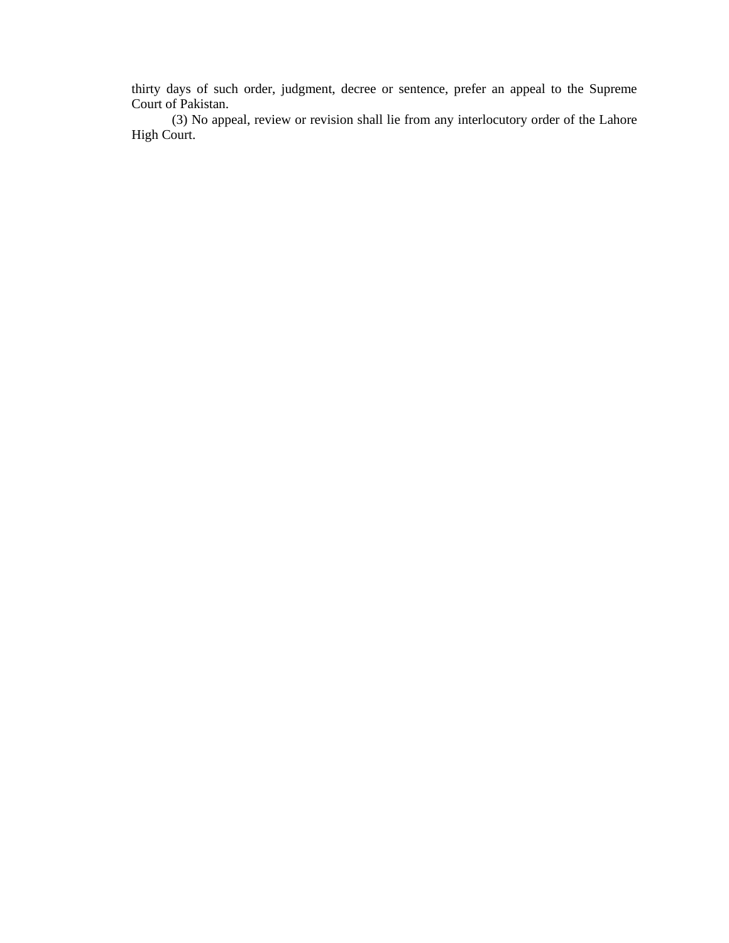thirty days of such order, judgment, decree or sentence, prefer an appeal to the Supreme Court of Pakistan.

 (3) No appeal, review or revision shall lie from any interlocutory order of the Lahore High Court.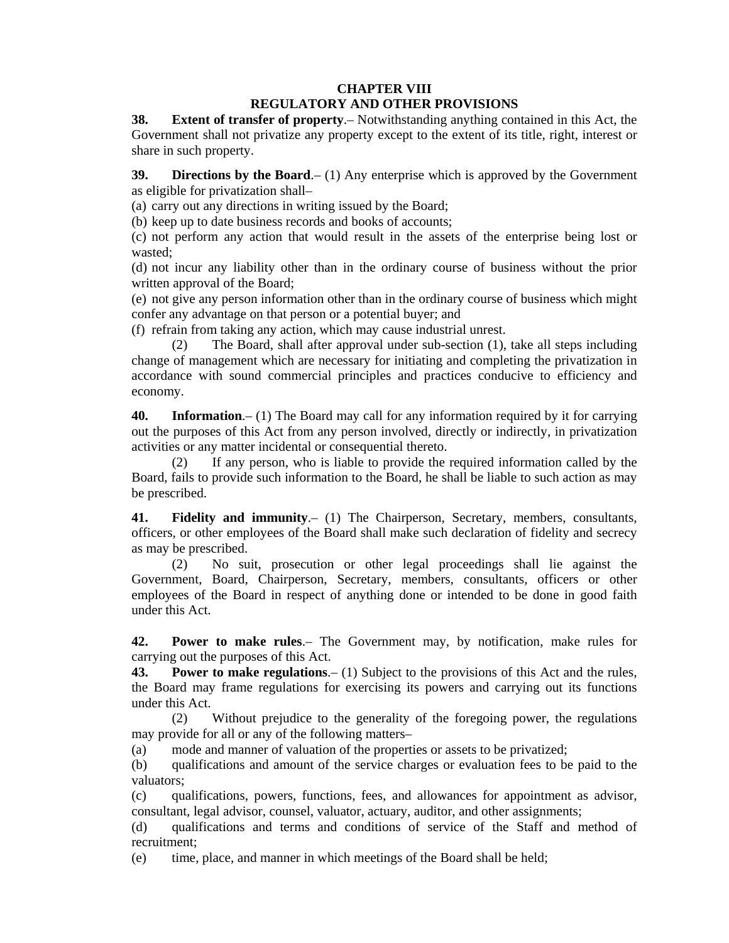# **CHAPTER VIII REGULATORY AND OTHER PROVISIONS**

**38. Extent of transfer of property**.– Notwithstanding anything contained in this Act, the Government shall not privatize any property except to the extent of its title, right, interest or share in such property.

**39. Directions by the Board.**– (1) Any enterprise which is approved by the Government as eligible for privatization shall–

(a) carry out any directions in writing issued by the Board;

(b) keep up to date business records and books of accounts;

 (c) not perform any action that would result in the assets of the enterprise being lost or wasted;

 (d) not incur any liability other than in the ordinary course of business without the prior written approval of the Board;

 (e) not give any person information other than in the ordinary course of business which might confer any advantage on that person or a potential buyer; and

(f) refrain from taking any action, which may cause industrial unrest.

 (2) The Board, shall after approval under sub-section (1), take all steps including change of management which are necessary for initiating and completing the privatization in accordance with sound commercial principles and practices conducive to efficiency and economy.

**40. Information**.– (1) The Board may call for any information required by it for carrying out the purposes of this Act from any person involved, directly or indirectly, in privatization activities or any matter incidental or consequential thereto.

 (2) If any person, who is liable to provide the required information called by the Board, fails to provide such information to the Board, he shall be liable to such action as may be prescribed.

**41. Fidelity and immunity**.– (1) The Chairperson, Secretary, members, consultants, officers, or other employees of the Board shall make such declaration of fidelity and secrecy as may be prescribed.

 (2) No suit, prosecution or other legal proceedings shall lie against the Government, Board, Chairperson, Secretary, members, consultants, officers or other employees of the Board in respect of anything done or intended to be done in good faith under this Act.

**42. Power to make rules**.– The Government may, by notification, make rules for carrying out the purposes of this Act.

**43. Power to make regulations**.– (1) Subject to the provisions of this Act and the rules, the Board may frame regulations for exercising its powers and carrying out its functions under this Act.

 (2) Without prejudice to the generality of the foregoing power, the regulations may provide for all or any of the following matters–

(a) mode and manner of valuation of the properties or assets to be privatized;

 (b) qualifications and amount of the service charges or evaluation fees to be paid to the valuators;

 (c) qualifications, powers, functions, fees, and allowances for appointment as advisor, consultant, legal advisor, counsel, valuator, actuary, auditor, and other assignments;

 (d) qualifications and terms and conditions of service of the Staff and method of recruitment;

(e) time, place, and manner in which meetings of the Board shall be held;